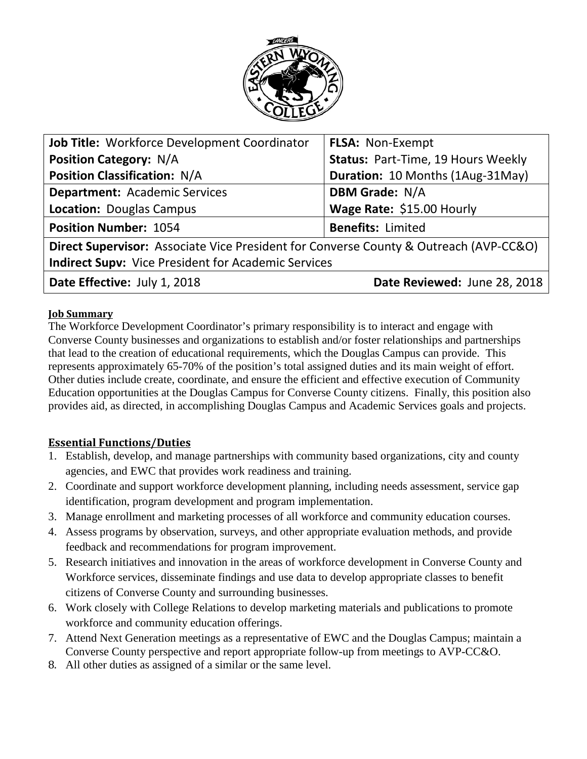

| Job Title: Workforce Development Coordinator                                          | <b>FLSA: Non-Exempt</b>                 |
|---------------------------------------------------------------------------------------|-----------------------------------------|
| <b>Position Category: N/A</b>                                                         | Status: Part-Time, 19 Hours Weekly      |
| <b>Position Classification: N/A</b>                                                   | <b>Duration: 10 Months (1Aug-31May)</b> |
| <b>Department: Academic Services</b>                                                  | <b>DBM Grade: N/A</b>                   |
| <b>Location: Douglas Campus</b>                                                       | Wage Rate: \$15.00 Hourly               |
| <b>Position Number: 1054</b>                                                          | <b>Benefits: Limited</b>                |
| Direct Supervisor: Associate Vice President for Converse County & Outreach (AVP-CC&O) |                                         |
| <b>Indirect Supv: Vice President for Academic Services</b>                            |                                         |
| Date Effective: July 1, 2018                                                          | Date Reviewed: June 28, 2018            |

## **Job Summary**

The Workforce Development Coordinator's primary responsibility is to interact and engage with Converse County businesses and organizations to establish and/or foster relationships and partnerships that lead to the creation of educational requirements, which the Douglas Campus can provide. This represents approximately 65-70% of the position's total assigned duties and its main weight of effort. Other duties include create, coordinate, and ensure the efficient and effective execution of Community Education opportunities at the Douglas Campus for Converse County citizens. Finally, this position also provides aid, as directed, in accomplishing Douglas Campus and Academic Services goals and projects.

## **Essential Functions/Duties**

- 1. Establish, develop, and manage partnerships with community based organizations, city and county agencies, and EWC that provides work readiness and training.
- 2. Coordinate and support workforce development planning, including needs assessment, service gap identification, program development and program implementation.
- 3. Manage enrollment and marketing processes of all workforce and community education courses.
- 4. Assess programs by observation, surveys, and other appropriate evaluation methods, and provide feedback and recommendations for program improvement.
- 5. Research initiatives and innovation in the areas of workforce development in Converse County and Workforce services, disseminate findings and use data to develop appropriate classes to benefit citizens of Converse County and surrounding businesses.
- 6. Work closely with College Relations to develop marketing materials and publications to promote workforce and community education offerings.
- 7. Attend Next Generation meetings as a representative of EWC and the Douglas Campus; maintain a Converse County perspective and report appropriate follow-up from meetings to AVP-CC&O.
- 8. All other duties as assigned of a similar or the same level.